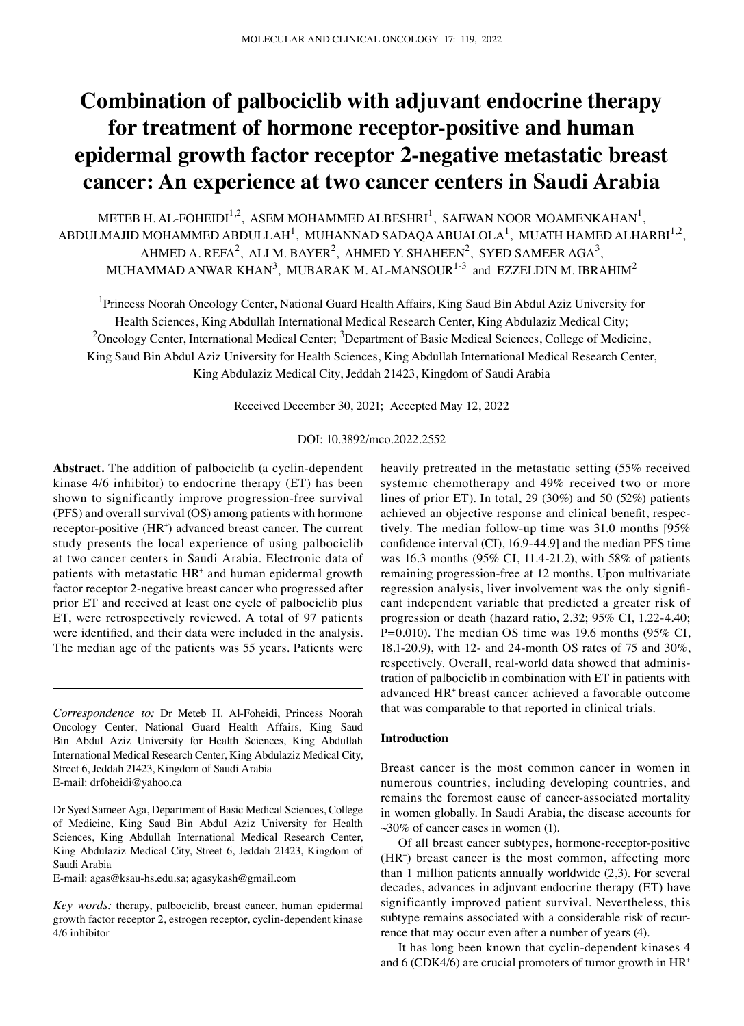# **Combination of palbociclib with adjuvant endocrine therapy for treatment of hormone receptor‑positive and human epidermal growth factor receptor 2‑negative metastatic breast cancer: An experience at two cancer centers in Saudi Arabia**

METEB H. AL-FOHEIDI $^{1,2}$ , ASEM MOHAMMED ALBESHRI $^{1}$ , SAFWAN NOOR MOAMENKAHAN $^{1}$ , ABDULMAJID MOHAMMED ABDULLAH<sup>1</sup>, MUHANNAD SADAQA ABUALOLA<sup>1</sup>, MUATH HAMED ALHARBI<sup>1,2</sup>, AHMED A. REFA<sup>2</sup>, ALI M. BAYER<sup>2</sup>, AHMED Y. SHAHEEN<sup>2</sup>, SYED SAMEER AGA<sup>3</sup>, MUHAMMAD ANWAR KHAN $^3\!$ , MUBARAK M. AL-MANSOUR $^{1\text{-}3}$  and EZZELDIN M. IBRAHIM $^2$ 

<sup>1</sup>Princess Noorah Oncology Center, National Guard Health Affairs, King Saud Bin Abdul Aziz University for Health Sciences, King Abdullah International Medical Research Center, King Abdulaziz Medical City; <sup>2</sup>Oncology Center, International Medical Center; <sup>3</sup>Department of Basic Medical Sciences, College of Medicine, King Saud Bin Abdul Aziz University for Health Sciences, King Abdullah International Medical Research Center, King Abdulaziz Medical City, Jeddah 21423, Kingdom of Saudi Arabia

Received December 30, 2021; Accepted May 12, 2022

## DOI: 10.3892/mco.2022.2552

**Abstract.** The addition of palbociclib (a cyclin‑dependent kinase 4/6 inhibitor) to endocrine therapy (ET) has been shown to significantly improve progression-free survival (PFS) and overall survival (OS) among patients with hormone receptor-positive (HR<sup>+</sup>) advanced breast cancer. The current study presents the local experience of using palbociclib at two cancer centers in Saudi Arabia. Electronic data of patients with metastatic HR<sup>+</sup> and human epidermal growth factor receptor 2‑negative breast cancer who progressed after prior ET and received at least one cycle of palbociclib plus ET, were retrospectively reviewed. A total of 97 patients were identified, and their data were included in the analysis. The median age of the patients was 55 years. Patients were

*Correspondence to:* Dr Meteb H. Al‑Foheidi, Princess Noorah Oncology Center, National Guard Health Affairs, King Saud Bin Abdul Aziz University for Health Sciences, King Abdullah International Medical Research Center, King Abdulaziz Medical City, Street 6, Jeddah 21423, Kingdom of Saudi Arabia E‑mail: drfoheidi@yahoo.ca

Dr Syed Sameer Aga, Department of Basic Medical Sciences, College of Medicine, King Saud Bin Abdul Aziz University for Health Sciences, King Abdullah International Medical Research Center, King Abdulaziz Medical City, Street 6, Jeddah 21423, Kingdom of Saudi Arabia

E‑mail: agas@ksau‑hs.edu.sa; agasykash@gmail.com

*Key words:* therapy, palbociclib, breast cancer, human epidermal growth factor receptor 2, estrogen receptor, cyclin‑dependent kinase 4/6 inhibitor

heavily pretreated in the metastatic setting (55% received systemic chemotherapy and 49% received two or more lines of prior ET). In total, 29 (30%) and 50 (52%) patients achieved an objective response and clinical benefit, respectively. The median follow‑up time was 31.0 months [95% confidence interval (CI), 16.9‑44.9] and the median PFS time was 16.3 months (95% CI, 11.4‑21.2), with 58% of patients remaining progression-free at 12 months. Upon multivariate regression analysis, liver involvement was the only significant independent variable that predicted a greater risk of progression or death (hazard ratio, 2.32; 95% CI, 1.22‑4.40; P=0.010). The median OS time was 19.6 months  $(95\% \text{ CI},$ 18.1‑20.9), with 12‑ and 24‑month OS rates of 75 and 30%, respectively. Overall, real-world data showed that administration of palbociclib in combination with ET in patients with advanced HR+ breast cancer achieved a favorable outcome that was comparable to that reported in clinical trials.

#### **Introduction**

Breast cancer is the most common cancer in women in numerous countries, including developing countries, and remains the foremost cause of cancer‑associated mortality in women globally. In Saudi Arabia, the disease accounts for  $\sim$ 30% of cancer cases in women (1).

Of all breast cancer subtypes, hormone‑receptor‑positive (HR<sup>+</sup>) breast cancer is the most common, affecting more than 1 million patients annually worldwide (2,3). For several decades, advances in adjuvant endocrine therapy (ET) have significantly improved patient survival. Nevertheless, this subtype remains associated with a considerable risk of recurrence that may occur even after a number of years (4).

It has long been known that cyclin‑dependent kinases 4 and 6 (CDK4/6) are crucial promoters of tumor growth in HR+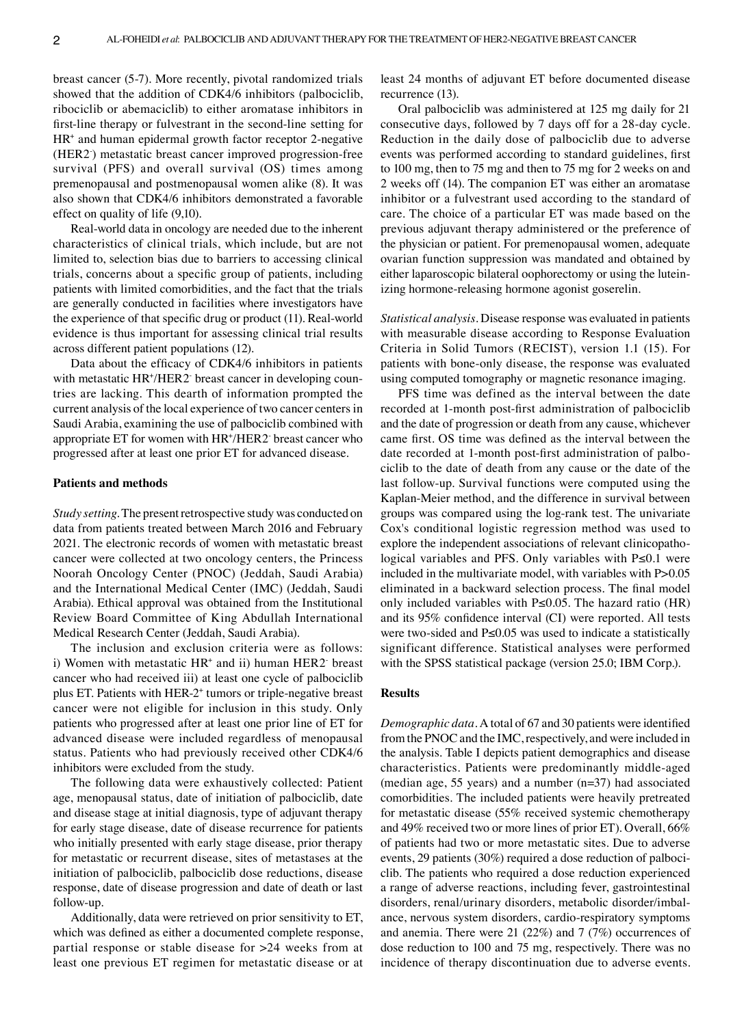breast cancer (5‑7). More recently, pivotal randomized trials showed that the addition of CDK4/6 inhibitors (palbociclib, ribociclib or abemaciclib) to either aromatase inhibitors in first-line therapy or fulvestrant in the second-line setting for HR+ and human epidermal growth factor receptor 2‑negative (HER2) metastatic breast cancer improved progression-free survival (PFS) and overall survival (OS) times among premenopausal and postmenopausal women alike (8). It was also shown that CDK4/6 inhibitors demonstrated a favorable effect on quality of life (9,10).

Real‑world data in oncology are needed due to the inherent characteristics of clinical trials, which include, but are not limited to, selection bias due to barriers to accessing clinical trials, concerns about a specific group of patients, including patients with limited comorbidities, and the fact that the trials are generally conducted in facilities where investigators have the experience of that specific drug or product (11). Real-world evidence is thus important for assessing clinical trial results across different patient populations (12).

Data about the efficacy of CDK4/6 inhibitors in patients with metastatic HR+/HER2 breast cancer in developing countries are lacking. This dearth of information prompted the current analysis of the local experience of two cancer centers in Saudi Arabia, examining the use of palbociclib combined with appropriate ET for women with HR+ /HER2‑ breast cancer who progressed after at least one prior ET for advanced disease.

# **Patients and methods**

*Study setting.* The present retrospective study was conducted on data from patients treated between March 2016 and February 2021. The electronic records of women with metastatic breast cancer were collected at two oncology centers, the Princess Noorah Oncology Center (PNOC) (Jeddah, Saudi Arabia) and the International Medical Center (IMC) (Jeddah, Saudi Arabia). Ethical approval was obtained from the Institutional Review Board Committee of King Abdullah International Medical Research Center (Jeddah, Saudi Arabia).

The inclusion and exclusion criteria were as follows: i) Women with metastatic HR<sup>+</sup> and ii) human HER2 breast cancer who had received iii) at least one cycle of palbociclib plus ET. Patients with HER-2<sup>+</sup> tumors or triple-negative breast cancer were not eligible for inclusion in this study. Only patients who progressed after at least one prior line of ET for advanced disease were included regardless of menopausal status. Patients who had previously received other CDK4/6 inhibitors were excluded from the study.

The following data were exhaustively collected: Patient age, menopausal status, date of initiation of palbociclib, date and disease stage at initial diagnosis, type of adjuvant therapy for early stage disease, date of disease recurrence for patients who initially presented with early stage disease, prior therapy for metastatic or recurrent disease, sites of metastases at the initiation of palbociclib, palbociclib dose reductions, disease response, date of disease progression and date of death or last follow‑up.

Additionally, data were retrieved on prior sensitivity to ET, which was defined as either a documented complete response, partial response or stable disease for >24 weeks from at least one previous ET regimen for metastatic disease or at least 24 months of adjuvant ET before documented disease recurrence (13).

Oral palbociclib was administered at 125 mg daily for 21 consecutive days, followed by 7 days off for a 28‑day cycle. Reduction in the daily dose of palbociclib due to adverse events was performed according to standard guidelines, first to 100 mg, then to 75 mg and then to 75 mg for 2 weeks on and 2 weeks off (14). The companion ET was either an aromatase inhibitor or a fulvestrant used according to the standard of care. The choice of a particular ET was made based on the previous adjuvant therapy administered or the preference of the physician or patient. For premenopausal women, adequate ovarian function suppression was mandated and obtained by either laparoscopic bilateral oophorectomy or using the luteinizing hormone‑releasing hormone agonist goserelin.

*Statistical analysis.* Disease response was evaluated in patients with measurable disease according to Response Evaluation Criteria in Solid Tumors (RECIST), version 1.1 (15). For patients with bone‑only disease, the response was evaluated using computed tomography or magnetic resonance imaging.

PFS time was defined as the interval between the date recorded at 1‑month post‑first administration of palbociclib and the date of progression or death from any cause, whichever came first. OS time was defined as the interval between the date recorded at 1-month post-first administration of palbociclib to the date of death from any cause or the date of the last follow‑up. Survival functions were computed using the Kaplan‑Meier method, and the difference in survival between groups was compared using the log‑rank test. The univariate Cox's conditional logistic regression method was used to explore the independent associations of relevant clinicopathological variables and PFS. Only variables with P≤0.1 were included in the multivariate model, with variables with P>0.05 eliminated in a backward selection process. The final model only included variables with P≤0.05. The hazard ratio (HR) and its 95% confidence interval (CI) were reported. All tests were two-sided and P≤0.05 was used to indicate a statistically significant difference. Statistical analyses were performed with the SPSS statistical package (version 25.0; IBM Corp.).

#### **Results**

*Demographic data.* A total of 67 and 30 patients were identified from the PNOC and the IMC, respectively, and were included in the analysis. Table I depicts patient demographics and disease characteristics. Patients were predominantly middle‑aged (median age, 55 years) and a number (n=37) had associated comorbidities. The included patients were heavily pretreated for metastatic disease (55% received systemic chemotherapy and 49% received two or more lines of prior ET). Overall, 66% of patients had two or more metastatic sites. Due to adverse events, 29 patients (30%) required a dose reduction of palbociclib. The patients who required a dose reduction experienced a range of adverse reactions, including fever, gastrointestinal disorders, renal/urinary disorders, metabolic disorder/imbalance, nervous system disorders, cardio‑respiratory symptoms and anemia. There were 21 (22%) and 7 (7%) occurrences of dose reduction to 100 and 75 mg, respectively. There was no incidence of therapy discontinuation due to adverse events.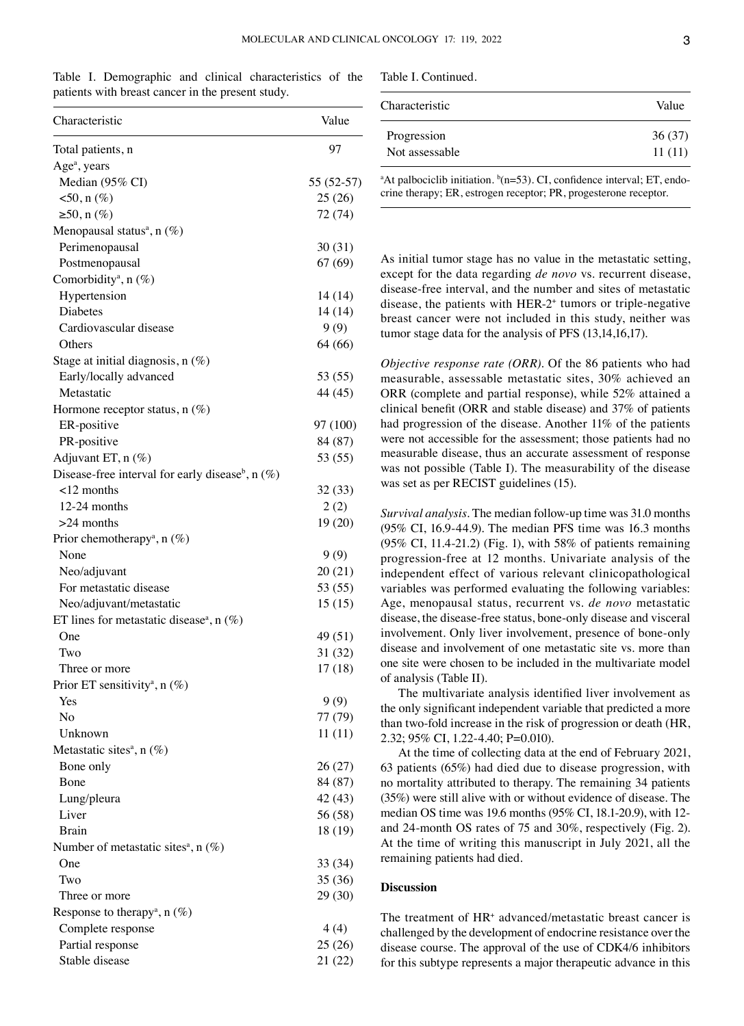Table I. Demographic and clinical characteristics of the patients with breast cancer in the present study.

| Characteristic                                                 | Value       |
|----------------------------------------------------------------|-------------|
| Total patients, n                                              | 97          |
| Age <sup>a</sup> , years                                       |             |
| Median (95% CI)                                                | $55(52-57)$ |
| $50, n (\%)$                                                   | 25(26)      |
| ≥50, n $(\%)$                                                  | 72 (74)     |
| Menopausal status <sup>a</sup> , n $(\%)$                      |             |
| Perimenopausal                                                 | 30(31)      |
| Postmenopausal                                                 | 67(69)      |
| Comorbidity <sup>a</sup> , n $(\%)$                            |             |
| Hypertension                                                   | 14 (14)     |
| Diabetes                                                       | 14 (14)     |
| Cardiovascular disease                                         | 9(9)        |
| Others                                                         | 64 (66)     |
| Stage at initial diagnosis, $n$ (%)                            |             |
| Early/locally advanced                                         | 53 (55)     |
| Metastatic                                                     | 44 (45)     |
| Hormone receptor status, $n(\%)$                               |             |
| ER-positive                                                    | 97 (100)    |
| PR-positive                                                    | 84 (87)     |
| Adjuvant ET, n (%)                                             | 53 (55)     |
| Disease-free interval for early disease <sup>b</sup> , $n$ (%) |             |
| $12$ months                                                    | 32 (33)     |
| $12-24$ months                                                 | 2(2)        |
| $>24$ months                                                   | 19(20)      |
| Prior chemotherapy <sup>a</sup> , n $(\%)$                     |             |
| None                                                           | 9(9)        |
| Neo/adjuvant                                                   | 20(21)      |
| For metastatic disease                                         | 53 (55)     |
| Neo/adjuvant/metastatic                                        | 15(15)      |
| ET lines for metastatic disease <sup>a</sup> , n $(\%)$        |             |
| One                                                            | 49 (51)     |
| Two                                                            | 31 (32)     |
| Three or more                                                  | 17(18)      |
| Prior ET sensitivity <sup>a</sup> , n $(\%)$                   |             |
| Yes                                                            | 9(9)        |
| No                                                             |             |
|                                                                | 77 (79)     |
| Unknown                                                        | 11(11)      |
| Metastatic sites <sup>a</sup> , $n$ (%)                        |             |
| Bone only                                                      | 26(27)      |
| Bone                                                           | 84 (87)     |
| Lung/pleura<br>Liver                                           | 42 (43)     |
|                                                                | 56 (58)     |
| Brain                                                          | 18 (19)     |
| Number of metastatic sites <sup>a</sup> , $n$ (%)              |             |
| One                                                            | 33 (34)     |
| Two                                                            | 35 (36)     |
| Three or more                                                  | 29 (30)     |
| Response to therapy <sup>a</sup> , n $(\%)$                    |             |
| Complete response                                              | 4(4)        |
| Partial response                                               | 25(26)      |
| Stable disease                                                 | 21 (22)     |

Table I. Continued.

| Value  |
|--------|
| 36(37) |
| 11(11) |
|        |

<sup>a</sup>At palbociclib initiation.  $b(n=53)$ . CI, confidence interval; ET, endocrine therapy; ER, estrogen receptor; PR, progesterone receptor.

As initial tumor stage has no value in the metastatic setting, except for the data regarding *de novo* vs. recurrent disease, disease‑free interval, and the number and sites of metastatic disease, the patients with HER‑2+ tumors or triple‑negative breast cancer were not included in this study, neither was tumor stage data for the analysis of PFS (13,14,16,17).

*Objective response rate (ORR).* Of the 86 patients who had measurable, assessable metastatic sites, 30% achieved an ORR (complete and partial response), while 52% attained a clinical benefit (ORR and stable disease) and 37% of patients had progression of the disease. Another 11% of the patients were not accessible for the assessment; those patients had no measurable disease, thus an accurate assessment of response was not possible (Table I). The measurability of the disease was set as per RECIST guidelines (15).

*Survival analysis.* The median follow‑up time was 31.0 months (95% CI, 16.9‑44.9). The median PFS time was 16.3 months (95% CI, 11.4‑21.2) (Fig. 1), with 58% of patients remaining progression‑free at 12 months. Univariate analysis of the independent effect of various relevant clinicopathological variables was performed evaluating the following variables: Age, menopausal status, recurrent vs. *de novo* metastatic disease, the disease‑free status, bone‑only disease and visceral involvement. Only liver involvement, presence of bone‑only disease and involvement of one metastatic site vs. more than one site were chosen to be included in the multivariate model of analysis (Table II).

The multivariate analysis identified liver involvement as the only significant independent variable that predicted a more than two‑fold increase in the risk of progression or death (HR, 2.32; 95% CI, 1.22‑4.40; P=0.010).

At the time of collecting data at the end of February 2021, 63 patients (65%) had died due to disease progression, with no mortality attributed to therapy. The remaining 34 patients (35%) were still alive with or without evidence of disease. The median OS time was 19.6 months (95% CI, 18.1-20.9), with 12and 24‑month OS rates of 75 and 30%, respectively (Fig. 2). At the time of writing this manuscript in July 2021, all the remaining patients had died.

## **Discussion**

The treatment of HR<sup>+</sup> advanced/metastatic breast cancer is challenged by the development of endocrine resistance over the disease course. The approval of the use of CDK4/6 inhibitors for this subtype represents a major therapeutic advance in this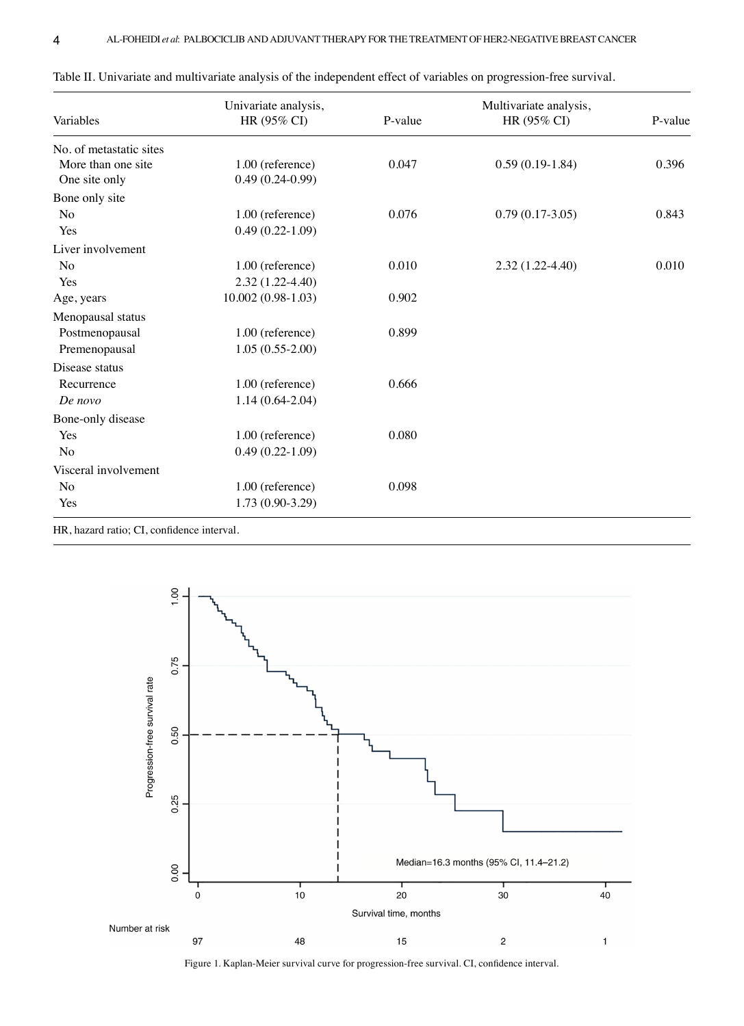| Variables               | Univariate analysis,<br>HR (95% CI) | P-value | Multivariate analysis,<br>HR (95% CI) | P-value |
|-------------------------|-------------------------------------|---------|---------------------------------------|---------|
| No. of metastatic sites |                                     |         |                                       |         |
| More than one site      | 1.00 (reference)                    | 0.047   | $0.59(0.19-1.84)$                     | 0.396   |
| One site only           | $0.49(0.24-0.99)$                   |         |                                       |         |
| Bone only site          |                                     |         |                                       |         |
| N <sub>o</sub>          | 1.00 (reference)                    | 0.076   | $0.79(0.17-3.05)$                     | 0.843   |
| Yes                     | $0.49(0.22-1.09)$                   |         |                                       |         |
| Liver involvement       |                                     |         |                                       |         |
| No                      | 1.00 (reference)                    | 0.010   | $2.32(1.22-4.40)$                     | 0.010   |
| Yes                     | $2.32(1.22-4.40)$                   |         |                                       |         |
| Age, years              | $10.002(0.98-1.03)$                 | 0.902   |                                       |         |
| Menopausal status       |                                     |         |                                       |         |
| Postmenopausal          | 1.00 (reference)                    | 0.899   |                                       |         |
| Premenopausal           | $1.05(0.55-2.00)$                   |         |                                       |         |
| Disease status          |                                     |         |                                       |         |
| Recurrence              | 1.00 (reference)                    | 0.666   |                                       |         |
| De novo                 | $1.14(0.64-2.04)$                   |         |                                       |         |
| Bone-only disease       |                                     |         |                                       |         |
| Yes                     | 1.00 (reference)                    | 0.080   |                                       |         |
| No                      | $0.49(0.22-1.09)$                   |         |                                       |         |
| Visceral involvement    |                                     |         |                                       |         |
| N <sub>o</sub>          | 1.00 (reference)                    | 0.098   |                                       |         |
| Yes                     | $1.73(0.90-3.29)$                   |         |                                       |         |

| Table II. Univariate and multivariate analysis of the independent effect of variables on progression-free survival. |  |
|---------------------------------------------------------------------------------------------------------------------|--|
|---------------------------------------------------------------------------------------------------------------------|--|

HR, hazard ratio; CI, confidence interval.



Figure 1. Kaplan‑Meier survival curve for progression‑free survival. CI, confidence interval.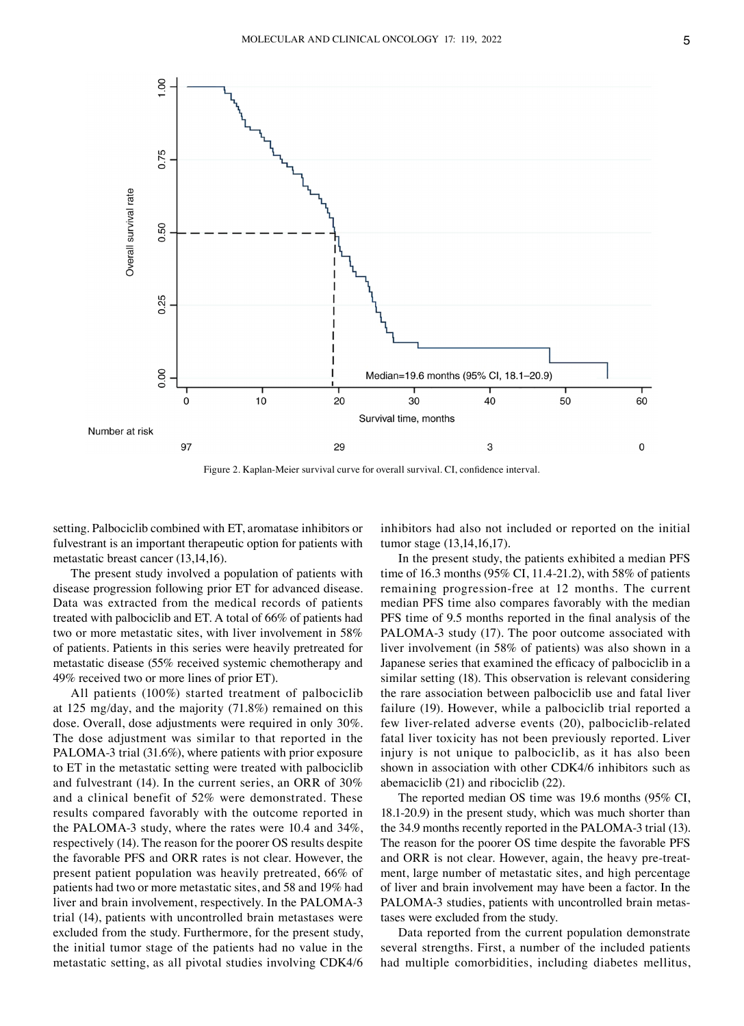

Figure 2. Kaplan‑Meier survival curve for overall survival. CI, confidence interval.

setting. Palbociclib combined with ET, aromatase inhibitors or fulvestrant is an important therapeutic option for patients with metastatic breast cancer (13,14,16).

The present study involved a population of patients with disease progression following prior ET for advanced disease. Data was extracted from the medical records of patients treated with palbociclib and ET. A total of 66% of patients had two or more metastatic sites, with liver involvement in 58% of patients. Patients in this series were heavily pretreated for metastatic disease (55% received systemic chemotherapy and 49% received two or more lines of prior ET).

All patients (100%) started treatment of palbociclib at 125 mg/day, and the majority (71.8%) remained on this dose. Overall, dose adjustments were required in only 30%. The dose adjustment was similar to that reported in the PALOMA-3 trial (31.6%), where patients with prior exposure to ET in the metastatic setting were treated with palbociclib and fulvestrant (14). In the current series, an ORR of 30% and a clinical benefit of 52% were demonstrated. These results compared favorably with the outcome reported in the PALOMA‑3 study, where the rates were 10.4 and 34%, respectively (14). The reason for the poorer OS results despite the favorable PFS and ORR rates is not clear. However, the present patient population was heavily pretreated, 66% of patients had two or more metastatic sites, and 58 and 19% had liver and brain involvement, respectively. In the PALOMA-3 trial (14), patients with uncontrolled brain metastases were excluded from the study. Furthermore, for the present study, the initial tumor stage of the patients had no value in the metastatic setting, as all pivotal studies involving CDK4/6 inhibitors had also not included or reported on the initial tumor stage (13,14,16,17).

In the present study, the patients exhibited a median PFS time of 16.3 months (95% CI, 11.4‑21.2), with 58% of patients remaining progression-free at 12 months. The current median PFS time also compares favorably with the median PFS time of 9.5 months reported in the final analysis of the PALOMA-3 study (17). The poor outcome associated with liver involvement (in 58% of patients) was also shown in a Japanese series that examined the efficacy of palbociclib in a similar setting (18). This observation is relevant considering the rare association between palbociclib use and fatal liver failure (19). However, while a palbociclib trial reported a few liver-related adverse events (20), palbociclib-related fatal liver toxicity has not been previously reported. Liver injury is not unique to palbociclib, as it has also been shown in association with other CDK4/6 inhibitors such as abemaciclib (21) and ribociclib (22).

The reported median OS time was 19.6 months (95% CI, 18.1‑20.9) in the present study, which was much shorter than the 34.9 months recently reported in the PALOMA‑3 trial (13). The reason for the poorer OS time despite the favorable PFS and ORR is not clear. However, again, the heavy pre-treatment, large number of metastatic sites, and high percentage of liver and brain involvement may have been a factor. In the PALOMA-3 studies, patients with uncontrolled brain metastases were excluded from the study.

Data reported from the current population demonstrate several strengths. First, a number of the included patients had multiple comorbidities, including diabetes mellitus,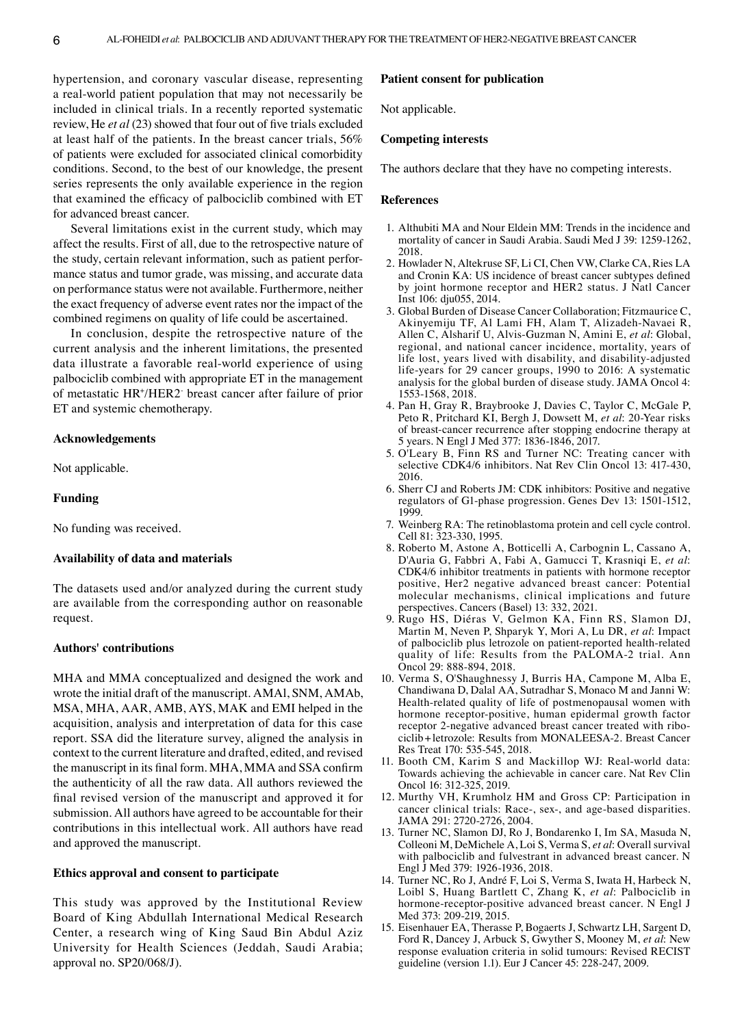hypertension, and coronary vascular disease, representing a real‑world patient population that may not necessarily be included in clinical trials. In a recently reported systematic review, He *et al* (23) showed that four out of five trials excluded at least half of the patients. In the breast cancer trials, 56% of patients were excluded for associated clinical comorbidity conditions. Second, to the best of our knowledge, the present series represents the only available experience in the region that examined the efficacy of palbociclib combined with ET for advanced breast cancer.

Several limitations exist in the current study, which may affect the results. First of all, due to the retrospective nature of the study, certain relevant information, such as patient performance status and tumor grade, was missing, and accurate data on performance status were not available. Furthermore, neither the exact frequency of adverse event rates nor the impact of the combined regimens on quality of life could be ascertained.

In conclusion, despite the retrospective nature of the current analysis and the inherent limitations, the presented data illustrate a favorable real‑world experience of using palbociclib combined with appropriate ET in the management of metastatic HR+ /HER2‑ breast cancer after failure of prior ET and systemic chemotherapy.

## **Acknowledgements**

Not applicable.

## **Funding**

No funding was received.

# **Availability of data and materials**

The datasets used and/or analyzed during the current study are available from the corresponding author on reasonable request.

# **Authors' contributions**

MHA and MMA conceptualized and designed the work and wrote the initial draft of the manuscript. AMAl, SNM, AMAb, MSA, MHA, AAR, AMB, AYS, MAK and EMI helped in the acquisition, analysis and interpretation of data for this case report. SSA did the literature survey, aligned the analysis in context to the current literature and drafted, edited, and revised the manuscript in its final form. MHA, MMA and SSA confirm the authenticity of all the raw data. All authors reviewed the final revised version of the manuscript and approved it for submission. All authors have agreed to be accountable for their contributions in this intellectual work. All authors have read and approved the manuscript.

# **Ethics approval and consent to participate**

This study was approved by the Institutional Review Board of King Abdullah International Medical Research Center, a research wing of King Saud Bin Abdul Aziz University for Health Sciences (Jeddah, Saudi Arabia; approval no. SP20/068/J).

## **Patient consent for publication**

Not applicable.

## **Competing interests**

The authors declare that they have no competing interests.

#### **References**

- 1. Althubiti MA and Nour Eldein MM: Trends in the incidence and mortality of cancer in Saudi Arabia. Saudi Med J 39: 1259‑1262, 2018.
- 2. Howlader N, Altekruse SF, Li CI, Chen VW, Clarke CA, Ries LA and Cronin KA: US incidence of breast cancer subtypes defined by joint hormone receptor and HER2 status. J Natl Cancer Inst 106: dju055, 2014.
- 3. Global Burden of Disease Cancer Collaboration; Fitzmaurice C, Akinyemiju TF, Al Lami FH, Alam T, Alizadeh‑Navaei R, Allen C, Alsharif U, Alvis‑Guzman N, Amini E, *et al*: Global, regional, and national cancer incidence, mortality, years of life lost, years lived with disability, and disability-adjusted life‑years for 29 cancer groups, 1990 to 2016: A systematic analysis for the global burden of disease study. JAMA Oncol 4: 1553‑1568, 2018.
- 4. Pan H, Gray R, Braybrooke J, Davies C, Taylor C, McGale P, Peto R, Pritchard KI, Bergh J, Dowsett M, *et al*: 20‑Year risks of breast‑cancer recurrence after stopping endocrine therapy at 5 years. N Engl J Med 377: 1836‑1846, 2017.
- 5. O'Leary B, Finn RS and Turner NC: Treating cancer with selective CDK4/6 inhibitors. Nat Rev Clin Oncol 13: 417-430, 2016.
- 6. Sherr CJ and Roberts JM: CDK inhibitors: Positive and negative regulators of G1‑phase progression. Genes Dev 13: 1501‑1512, 1999.
- 7. Weinberg RA: The retinoblastoma protein and cell cycle control. Cell 81: 323‑330, 1995.
- 8. Roberto M, Astone A, Botticelli A, Carbognin L, Cassano A, D'Auria G, Fabbri A, Fabi A, Gamucci T, Krasniqi E, *et al*: CDK4/6 inhibitor treatments in patients with hormone receptor positive, Her2 negative advanced breast cancer: Potential molecular mechanisms, clinical implications and future perspectives. Cancers (Basel) 13: 332, 2021.
- 9. Rugo HS, Diéras V, Gelmon KA, Finn RS, Slamon DJ, Martin M, Neven P, Shparyk Y, Mori A, Lu DR, *et al*: Impact of palbociclib plus letrozole on patient-reported health-related quality of life: Results from the PALOMA‑2 trial. Ann Oncol 29: 888‑894, 2018.
- 10. Verma S, O'Shaughnessy J, Burris HA, Campone M, Alba E, Chandiwana D, Dalal AA, Sutradhar S, Monaco M and Janni W: Health-related quality of life of postmenopausal women with hormone receptor-positive, human epidermal growth factor receptor 2-negative advanced breast cancer treated with ribociclib+letrozole: Results from MONALEESA‑2. Breast Cancer Res Treat 170: 535‑545, 2018.
- 11. Booth CM, Karim S and Mackillop WJ: Real-world data: Towards achieving the achievable in cancer care. Nat Rev Clin Oncol 16: 312‑325, 2019.
- 12. Murthy VH, Krumholz HM and Gross CP: Participation in cancer clinical trials: Race‑, sex‑, and age‑based disparities. JAMA 291: 2720‑2726, 2004.
- 13. Turner NC, Slamon DJ, Ro J, Bondarenko I, Im SA, Masuda N, Colleoni M, DeMichele A, Loi S, Verma S, *et al*: Overall survival with palbociclib and fulvestrant in advanced breast cancer. N Engl J Med 379: 1926‑1936, 2018.
- 14. Turner NC, Ro J, André F, Loi S, Verma S, Iwata H, Harbeck N, Loibl S, Huang Bartlett C, Zhang K, *et al*: Palbociclib in hormone-receptor-positive advanced breast cancer. N Engl J Med 373: 209-219, 2015.
- 15. Eisenhauer EA, Therasse P, Bogaerts J, Schwartz LH, Sargent D, Ford R, Dancey J, Arbuck S, Gwyther S, Mooney M, *et al*: New response evaluation criteria in solid tumours: Revised RECIST guideline (version 1.1). Eur J Cancer 45: 228‑247, 2009.